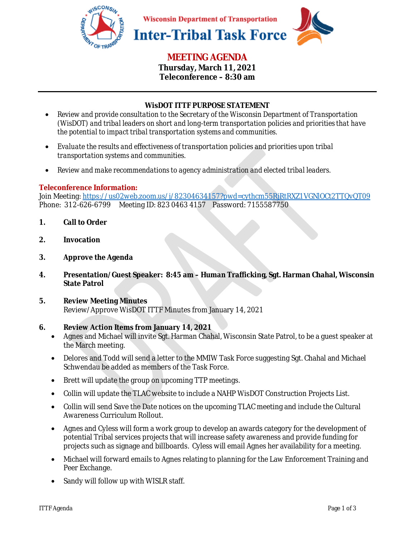

# **MEETING AGENDA**

**Thursday, March 11, 2021 Teleconference – 8:30 am** 

# **WisDOT ITTF PURPOSE STATEMENT**

- *Review and provide consultation to the Secretary of the Wisconsin Department of Transportation (WisDOT) and tribal leaders on short and long-term transportation policies and priorities that have the potential to impact tribal transportation systems and communities.*
- *Evaluate the results and effectiveness of transportation policies and priorities upon tribal transportation systems and communities.*
- *Review and make recommendations to agency administration and elected tribal leaders.*

# **Teleconference Information:**

Join Meeting: https://us02web.zoom.us/j/82304634157?pwd=cythcm55RjRtRXZ1VGNlOCt2TTQvQT09 Phone: 312-626-6799 Meeting ID: 823 0463 4157 Password: 7155587750

- **1. Call to Order**
- **2. Invocation**
- **3. Approve the Agenda**
- **4. Presentation/Guest Speaker: 8:45 am Human Trafficking, Sgt. Harman Chahal, Wisconsin State Patrol**
- **5. Review Meeting Minutes**  Review/Approve WisDOT ITTF Minutes from January 14, 2021

## **6. Review Action Items from January 14, 2021**

- Agnes and Michael will invite Sgt. Harman Chahal, Wisconsin State Patrol, to be a guest speaker at the March meeting.
- Delores and Todd will send a letter to the MMIW Task Force suggesting Sgt. Chahal and Michael Schwendau be added as members of the Task Force.
- Brett will update the group on upcoming TTP meetings.
- Collin will update the TLAC website to include a NAHP WisDOT Construction Projects List.
- Collin will send Save the Date notices on the upcoming TLAC meeting and include the Cultural Awareness Curriculum Rollout.
- Agnes and Cyless will form a work group to develop an awards category for the development of potential Tribal services projects that will increase safety awareness and provide funding for projects such as signage and billboards. Cyless will email Agnes her availability for a meeting.
- Michael will forward emails to Agnes relating to planning for the Law Enforcement Training and Peer Exchange.
- Sandy will follow up with WISLR staff.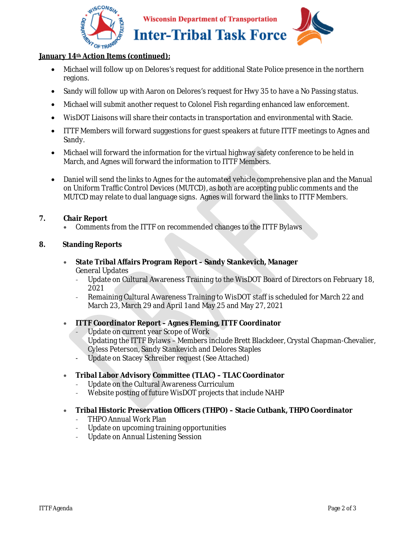

## **January 14th Action Items (continued):**

- Michael will follow up on Delores's request for additional State Police presence in the northern regions.
- Sandy will follow up with Aaron on Delores's request for Hwy 35 to have a No Passing status.
- Michael will submit another request to Colonel Fish regarding enhanced law enforcement.
- WisDOT Liaisons will share their contacts in transportation and environmental with Stacie.
- ITTF Members will forward suggestions for guest speakers at future ITTF meetings to Agnes and Sandy.
- Michael will forward the information for the virtual highway safety conference to be held in March, and Agnes will forward the information to ITTF Members.
- Daniel will send the links to Agnes for the automated vehicle comprehensive plan and the Manual on Uniform Traffic Control Devices (MUTCD), as both are accepting public comments and the MUTCD may relate to dual language signs. Agnes will forward the links to ITTF Members.

#### **7. Chair Report**

• Comments from the ITTF on recommended changes to the ITTF Bylaws

#### **8. Standing Reports**

- **State Tribal Affairs Program Report Sandy Stankevich, Manager**  General Updates
	- Update on Cultural Awareness Training to the WisDOT Board of Directors on February 18, 2021
	- Remaining Cultural Awareness Training to WisDOT staff is scheduled for March 22 and March 23, March 29 and April 1and May 25 and May 27, 2021
- **ITTF Coordinator Report Agnes Fleming, ITTF Coordinator** 
	- Update on current year Scope of Work
	- Updating the ITTF Bylaws Members include Brett Blackdeer, Crystal Chapman-Chevalier,
	- Cyless Peterson, Sandy Stankevich and Delores Staples
	- Update on Stacey Schreiber request (See Attached)

## • **Tribal Labor Advisory Committee (TLAC) – TLAC Coordinator**

- Update on the Cultural Awareness Curriculum
- Website posting of future WisDOT projects that include NAHP
- **Tribal Historic Preservation Officers (THPO) Stacie Cutbank, THPO Coordinator** 
	- THPO Annual Work Plan
	- Update on upcoming training opportunities
	- Update on Annual Listening Session